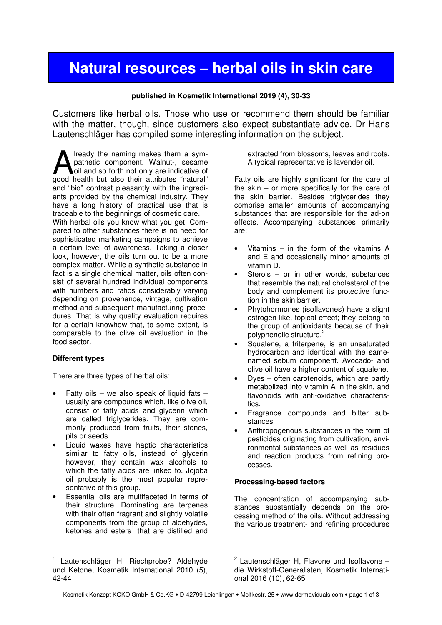# **Natural resources – herbal oils in skin care**

#### **published in Kosmetik International 2019 (4), 30-33**

Customers like herbal oils. Those who use or recommend them should be familiar with the matter, though, since customers also expect substantiate advice. Dr Hans Lautenschläger has compiled some interesting information on the subject.

lready the naming makes them a sympathetic component. Walnut-, sesame oil and so forth not only are indicative of **A** lready the naming makes them a sympathetic component. Walnut-, sesame oil and so forth not only are indicative of good health but also their attributes "natural" and "bio" contrast pleasantly with the ingredients provided by the chemical industry. They have a long history of practical use that is traceable to the beginnings of cosmetic care. With herbal oils you know what you get. Compared to other substances there is no need for sophisticated marketing campaigns to achieve a certain level of awareness. Taking a closer look, however, the oils turn out to be a more complex matter. While a synthetic substance in fact is a single chemical matter, oils often consist of several hundred individual components with numbers and ratios considerably varying depending on provenance, vintage, cultivation method and subsequent manufacturing procedures. That is why quality evaluation requires for a certain knowhow that, to some extent, is comparable to the olive oil evaluation in the food sector.

#### **Different types**

l

There are three types of herbal oils:

- Fatty oils we also speak of liquid fats usually are compounds which, like olive oil, consist of fatty acids and glycerin which are called triglycerides. They are commonly produced from fruits, their stones, pits or seeds.
- Liquid waxes have haptic characteristics similar to fatty oils, instead of glycerin however, they contain wax alcohols to which the fatty acids are linked to. Jojoba oil probably is the most popular representative of this group.
- Essential oils are multifaceted in terms of their structure. Dominating are terpenes with their often fragrant and slightly volatile components from the group of aldehydes, ketones and esters<sup>1</sup> that are distilled and

extracted from blossoms, leaves and roots. A typical representative is lavender oil.

Fatty oils are highly significant for the care of the skin – or more specifically for the care of the skin barrier. Besides triglycerides they comprise smaller amounts of accompanying substances that are responsible for the ad-on effects. Accompanying substances primarily are:

- Vitamins  $-$  in the form of the vitamins  $A$ and E and occasionally minor amounts of vitamin D.
- Sterols  $-$  or in other words, substances that resemble the natural cholesterol of the body and complement its protective function in the skin barrier.
- Phytohormones (isoflavones) have a slight estrogen-like, topical effect; they belong to the group of antioxidants because of their polyphenolic structure.<sup>2</sup>
- Squalene, a triterpene, is an unsaturated hydrocarbon and identical with the samenamed sebum component. Avocado- and olive oil have a higher content of squalene.
- Dyes often carotenoids, which are partly metabolized into vitamin A in the skin, and flavonoids with anti-oxidative characteristics.
- Fragrance compounds and bitter substances
- Anthropogenous substances in the form of pesticides originating from cultivation, environmental substances as well as residues and reaction products from refining processes.

#### **Processing-based factors**

The concentration of accompanying substances substantially depends on the processing method of the oils. Without addressing the various treatment- and refining procedures

<sup>1</sup> Lautenschläger H, Riechprobe? Aldehyde und Ketone, Kosmetik International 2010 (5), 42-44

 2 Lautenschläger H, Flavone und Isoflavone – die Wirkstoff-Generalisten, Kosmetik International 2016 (10), 62-65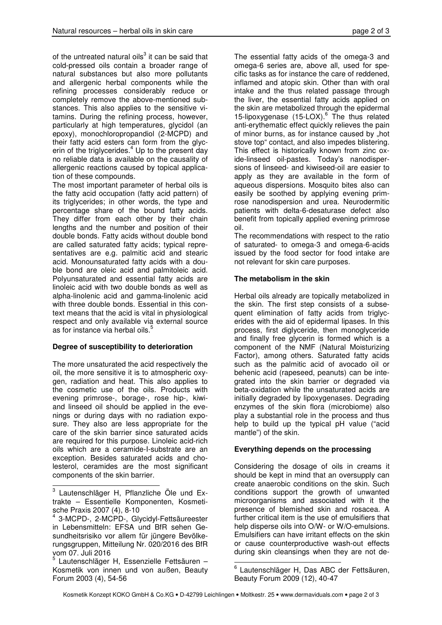of the untreated natural oils $3$  it can be said that cold-pressed oils contain a broader range of natural substances but also more pollutants and allergenic herbal components while the refining processes considerably reduce or completely remove the above-mentioned substances. This also applies to the sensitive vitamins. During the refining process, however, particularly at high temperatures, glycidol (an epoxy), monochloropropandiol (2-MCPD) and their fatty acid esters can form from the glycerin of the triglycerides. $4$  Up to the present day no reliable data is available on the causality of allergenic reactions caused by topical application of these compounds.

The most important parameter of herbal oils is the fatty acid occupation (fatty acid pattern) of its triglycerides; in other words, the type and percentage share of the bound fatty acids. They differ from each other by their chain lengths and the number and position of their double bonds. Fatty acids without double bond are called saturated fatty acids; typical representatives are e.g. palmitic acid and stearic acid. Monounsaturated fatty acids with a double bond are oleic acid and palmitoleic acid. Polyunsaturated and essential fatty acids are linoleic acid with two double bonds as well as alpha-linolenic acid and gamma-linolenic acid with three double bonds. Essential in this context means that the acid is vital in physiological respect and only available via external source as for instance via herbal oils.

# **Degree of susceptibility to deterioration**

The more unsaturated the acid respectively the oil, the more sensitive it is to atmospheric oxygen, radiation and heat. This also applies to the cosmetic use of the oils. Products with evening primrose-, borage-, rose hip-, kiwiand linseed oil should be applied in the evenings or during days with no radiation exposure. They also are less appropriate for the care of the skin barrier since saturated acids are required for this purpose. Linoleic acid-rich oils which are a ceramide-I-substrate are an exception. Besides saturated acids and cholesterol, ceramides are the most significant components of the skin barrier.

The essential fatty acids of the omega-3 and omega-6 series are, above all, used for specific tasks as for instance the care of reddened, inflamed and atopic skin. Other than with oral intake and the thus related passage through the liver, the essential fatty acids applied on the skin are metabolized through the epidermal 15-lipoxygenase (15-LOX).<sup>6</sup> The thus related anti-erythematic effect quickly relieves the pain of minor burns, as for instance caused by "hot stove top" contact, and also impedes blistering. This effect is historically known from zinc oxide-linseed oil-pastes. Today's nanodispersions of linseed- and kiwiseed-oil are easier to apply as they are available in the form of aqueous dispersions. Mosquito bites also can easily be soothed by applying evening primrose nanodispersion and urea. Neurodermitic patients with delta-6-desaturase defect also benefit from topically applied evening primrose oil.

The recommendations with respect to the ratio of saturated- to omega-3 and omega-6-acids issued by the food sector for food intake are not relevant for skin care purposes.

# **The metabolism in the skin**

Herbal oils already are topically metabolized in the skin. The first step consists of a subsequent elimination of fatty acids from triglycerides with the aid of epidermal lipases. In this process, first diglyceride, then monoglyceride and finally free glycerin is formed which is a component of the NMF (Natural Moisturizing Factor), among others. Saturated fatty acids such as the palmitic acid of avocado oil or behenic acid (rapeseed, peanuts) can be integrated into the skin barrier or degraded via beta-oxidation while the unsaturated acids are initially degraded by lipoxygenases. Degrading enzymes of the skin flora (microbiome) also play a substantial role in the process and thus help to build up the typical pH value ("acid mantle") of the skin.

## **Everything depends on the processing**

Considering the dosage of oils in creams it should be kept in mind that an oversupply can create anaerobic conditions on the skin. Such conditions support the growth of unwanted microorganisms and associated with it the presence of blemished skin and rosacea. A further critical item is the use of emulsifiers that help disperse oils into O/W- or W/O-emulsions. Emulsifiers can have irritant effects on the skin or cause counterproductive wash-out effects during skin cleansings when they are not de-

 $\overline{a}$  $3$  Lautenschläger H, Pflanzliche Öle und Extrakte – Essentielle Komponenten, Kosmetische Praxis 2007 (4), 8-10

<sup>4</sup> 3-MCPD-, 2-MCPD-, Glycidyl-Fettsäureester in Lebensmitteln: EFSA und BfR sehen Gesundheitsrisiko vor allem für jüngere Bevölkerungsgruppen, Mitteilung Nr. 020/2016 des BfR vom 07. Juli 2016

<sup>&</sup>lt;sup>5</sup> Lautenschläger H, Essenzielle Fettsäuren -Kosmetik von innen und von außen, Beauty Forum 2003 (4), 54-56

 6 Lautenschläger H, Das ABC der Fettsäuren, Beauty Forum 2009 (12), 40-47